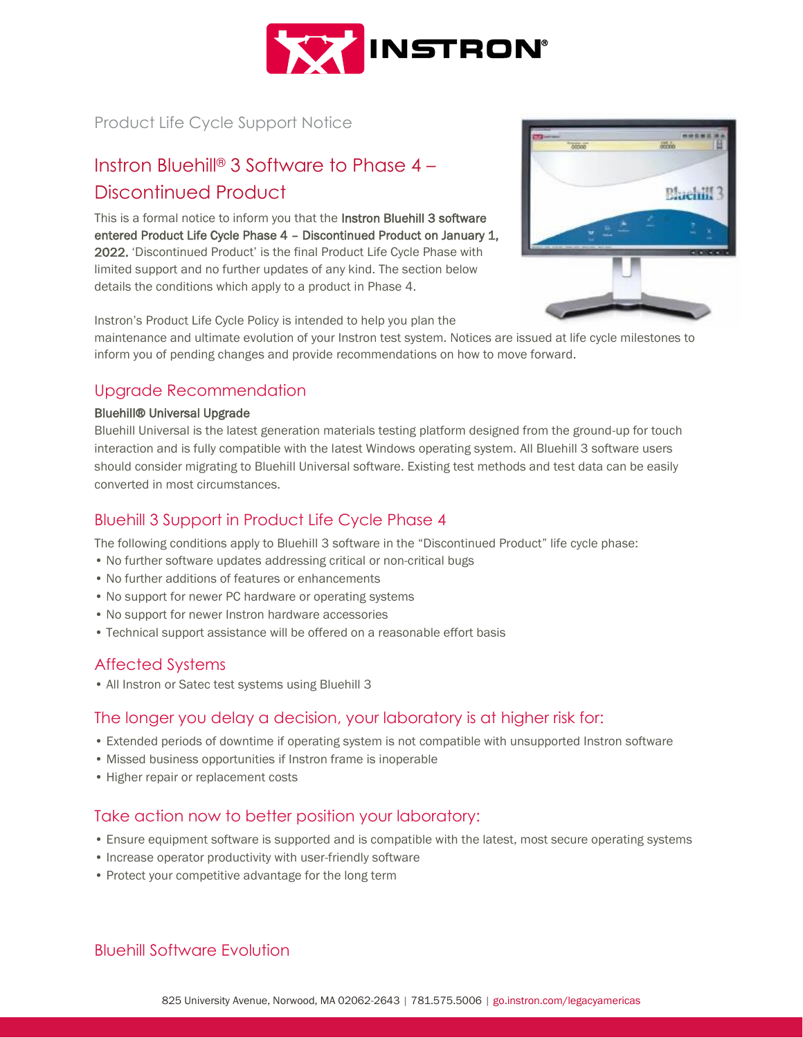

Product Life Cycle Support Notice

# Instron Bluehill® 3 Software to Phase 4 – Discontinued Product

This is a formal notice to inform you that the Instron Bluehill 3 software entered Product Life Cycle Phase 4 – Discontinued Product on January 1, 2022. 'Discontinued Product' is the final Product Life Cycle Phase with limited support and no further updates of any kind. The section below details the conditions which apply to a product in Phase 4.



Instron's Product Life Cycle Policy is intended to help you plan the

maintenance and ultimate evolution of your Instron test system. Notices are issued at life cycle milestones to inform you of pending changes and provide recommendations on how to move forward.

#### Upgrade Recommendation

#### Bluehill® Universal Upgrade

Bluehill Universal is the latest generation materials testing platform designed from the ground-up for touch interaction and is fully compatible with the latest Windows operating system. All Bluehill 3 software users should consider migrating to Bluehill Universal software. Existing test methods and test data can be easily converted in most circumstances.

#### Bluehill 3 Support in Product Life Cycle Phase 4

The following conditions apply to Bluehill 3 software in the "Discontinued Product" life cycle phase:

- No further software updates addressing critical or non-critical bugs
- No further additions of features or enhancements
- No support for newer PC hardware or operating systems
- No support for newer Instron hardware accessories
- Technical support assistance will be offered on a reasonable effort basis

## Affected Systems

• All Instron or Satec test systems using Bluehill 3

#### The longer you delay a decision, your laboratory is at higher risk for:

- Extended periods of downtime if operating system is not compatible with unsupported Instron software
- Missed business opportunities if Instron frame is inoperable
- Higher repair or replacement costs

#### Take action now to better position your laboratory:

- Ensure equipment software is supported and is compatible with the latest, most secure operating systems
- Increase operator productivity with user-friendly software
- Protect your competitive advantage for the long term

## Bluehill Software Evolution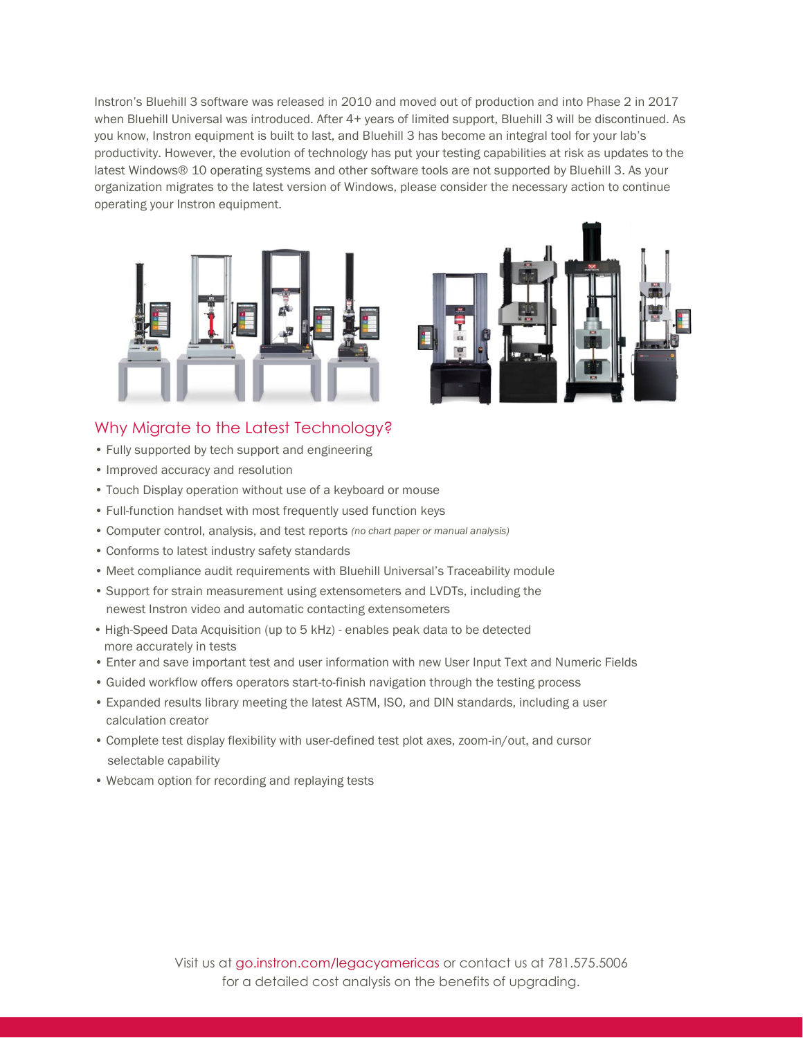Instron's Bluehill 3 software was released in 2010 and moved out of production and into Phase 2 in 2017 when Bluehill Universal was introduced. After 4+ years of limited support, Bluehill 3 will be discontinued. As you know, Instron equipment is built to last, and Bluehill 3 has become an integral tool for your lab's productivity. However, the evolution of technology has put your testing capabilities at risk as updates to the latest Windows® 10 operating systems and other software tools are not supported by Bluehill 3. As your organization migrates to the latest version of Windows, please consider the necessary action to continue operating your Instron equipment.





#### Why Migrate to the Latest Technology?

- Fully supported by tech support and engineering
- Improved accuracy and resolution
- Touch Display operation without use of a keyboard or mouse
- Full-function handset with most frequently used function keys
- Computer control, analysis, and test reports *(no chart paper or manual analysis)*
- Conforms to latest industry safety standards
- Meet compliance audit requirements with Bluehill Universal's Traceability module
- Support for strain measurement using extensometers and LVDTs, including the newest Instron video and automatic contacting extensometers
- High-Speed Data Acquisition (up to 5 kHz) enables peak data to be detected more accurately in tests
- Enter and save important test and user information with new User Input Text and Numeric Fields
- Guided workflow offers operators start-to-finish navigation through the testing process
- Expanded results library meeting the latest ASTM, ISO, and DIN standards, including a user calculation creator
- Complete test display flexibility with user-defined test plot axes, zoom-in/out, and cursor selectable capability
- Webcam option for recording and replaying tests